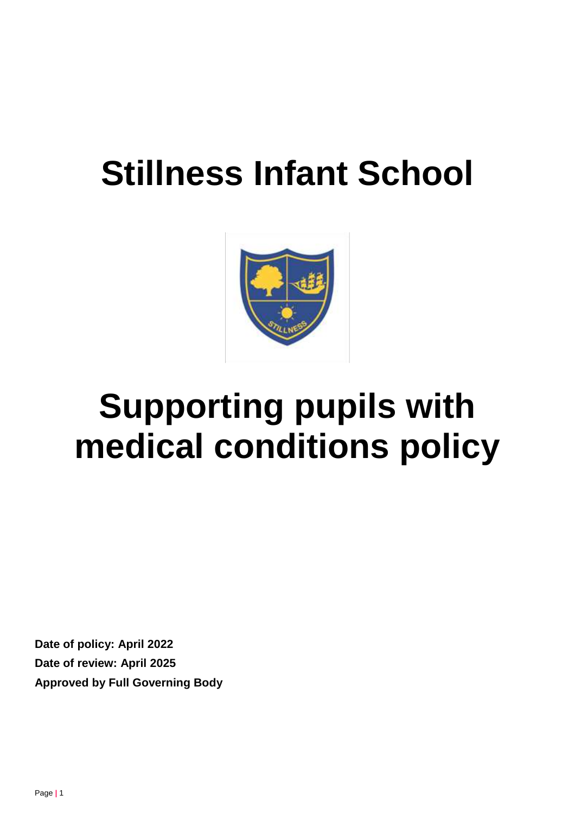# **Stillness Infant School**



# **Supporting pupils with medical conditions policy**

**Date of policy: April 2022 Date of review: April 2025 Approved by Full Governing Body**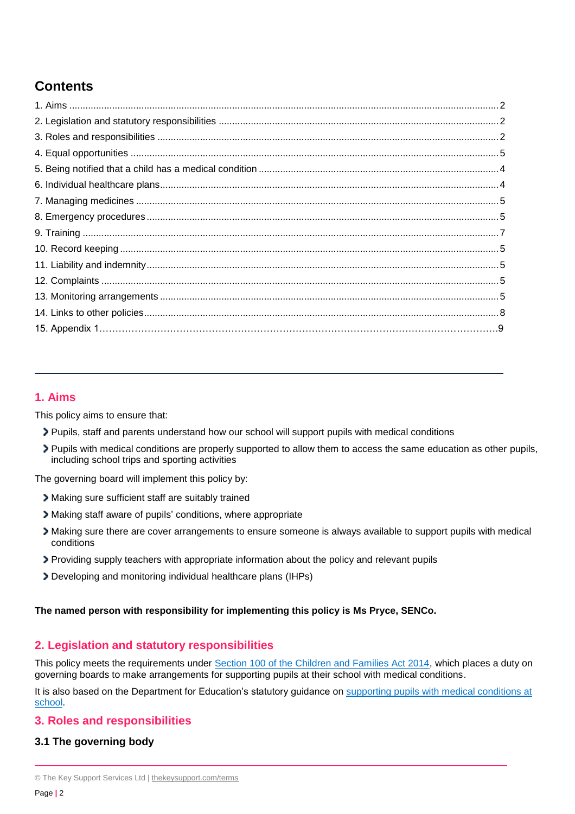# **Contents**

# **1. Aims**

This policy aims to ensure that:

- Pupils, staff and parents understand how our school will support pupils with medical conditions
- Pupils with medical conditions are properly supported to allow them to access the same education as other pupils, including school trips and sporting activities

The governing board will implement this policy by:

- Making sure sufficient staff are suitably trained
- Making staff aware of pupils' conditions, where appropriate
- Making sure there are cover arrangements to ensure someone is always available to support pupils with medical conditions
- Providing supply teachers with appropriate information about the policy and relevant pupils
- Developing and monitoring individual healthcare plans (IHPs)

# **The named person with responsibility for implementing this policy is Ms Pryce, SENCo.**

# **2. Legislation and statutory responsibilities**

This policy meets the requirements under [Section 100 of the Children and Families Act 2014,](http://www.legislation.gov.uk/ukpga/2014/6/part/5/crossheading/pupils-with-medical-conditions) which places a duty on governing boards to make arrangements for supporting pupils at their school with medical conditions.

It is also based on the Department for Education's statutory guidance on supporting pupils with medical conditions at [school.](https://www.gov.uk/government/publications/supporting-pupils-at-school-with-medical-conditions--3)

# **3. Roles and responsibilities**

# **3.1 The governing body**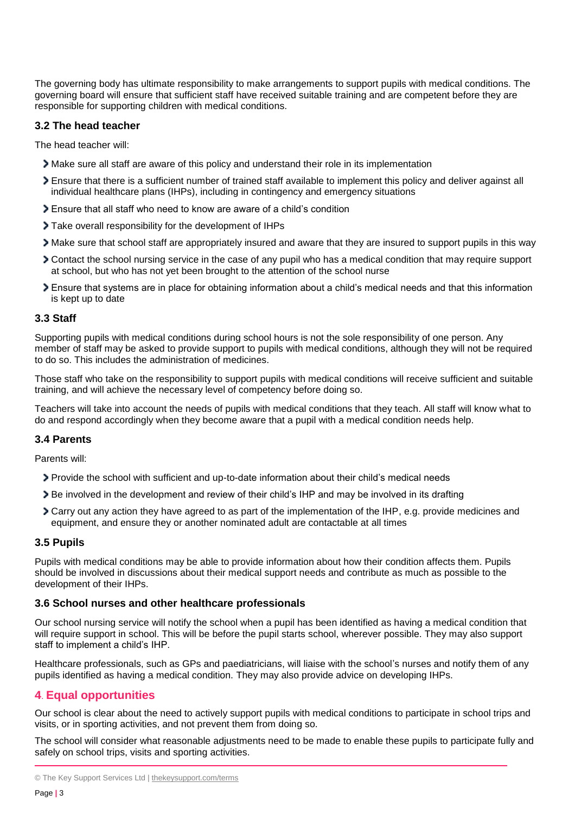The governing body has ultimate responsibility to make arrangements to support pupils with medical conditions. The governing board will ensure that sufficient staff have received suitable training and are competent before they are responsible for supporting children with medical conditions.

# **3.2 The head teacher**

The head teacher will:

- Make sure all staff are aware of this policy and understand their role in its implementation
- Ensure that there is a sufficient number of trained staff available to implement this policy and deliver against all individual healthcare plans (IHPs), including in contingency and emergency situations
- Ensure that all staff who need to know are aware of a child's condition
- Take overall responsibility for the development of IHPs
- Make sure that school staff are appropriately insured and aware that they are insured to support pupils in this way
- Contact the school nursing service in the case of any pupil who has a medical condition that may require support at school, but who has not yet been brought to the attention of the school nurse
- Ensure that systems are in place for obtaining information about a child's medical needs and that this information is kept up to date

#### **3.3 Staff**

Supporting pupils with medical conditions during school hours is not the sole responsibility of one person. Any member of staff may be asked to provide support to pupils with medical conditions, although they will not be required to do so. This includes the administration of medicines.

Those staff who take on the responsibility to support pupils with medical conditions will receive sufficient and suitable training, and will achieve the necessary level of competency before doing so.

Teachers will take into account the needs of pupils with medical conditions that they teach. All staff will know what to do and respond accordingly when they become aware that a pupil with a medical condition needs help.

# **3.4 Parents**

Parents will:

- Provide the school with sufficient and up-to-date information about their child's medical needs
- Be involved in the development and review of their child's IHP and may be involved in its drafting
- Carry out any action they have agreed to as part of the implementation of the IHP, e.g. provide medicines and equipment, and ensure they or another nominated adult are contactable at all times

#### **3.5 Pupils**

Pupils with medical conditions may be able to provide information about how their condition affects them. Pupils should be involved in discussions about their medical support needs and contribute as much as possible to the development of their IHPs.

#### **3.6 School nurses and other healthcare professionals**

Our school nursing service will notify the school when a pupil has been identified as having a medical condition that will require support in school. This will be before the pupil starts school, wherever possible. They may also support staff to implement a child's IHP.

Healthcare professionals, such as GPs and paediatricians, will liaise with the school's nurses and notify them of any pupils identified as having a medical condition. They may also provide advice on developing IHPs.

# **4**. **Equal opportunities**

Our school is clear about the need to actively support pupils with medical conditions to participate in school trips and visits, or in sporting activities, and not prevent them from doing so.

The school will consider what reasonable adjustments need to be made to enable these pupils to participate fully and safely on school trips, visits and sporting activities.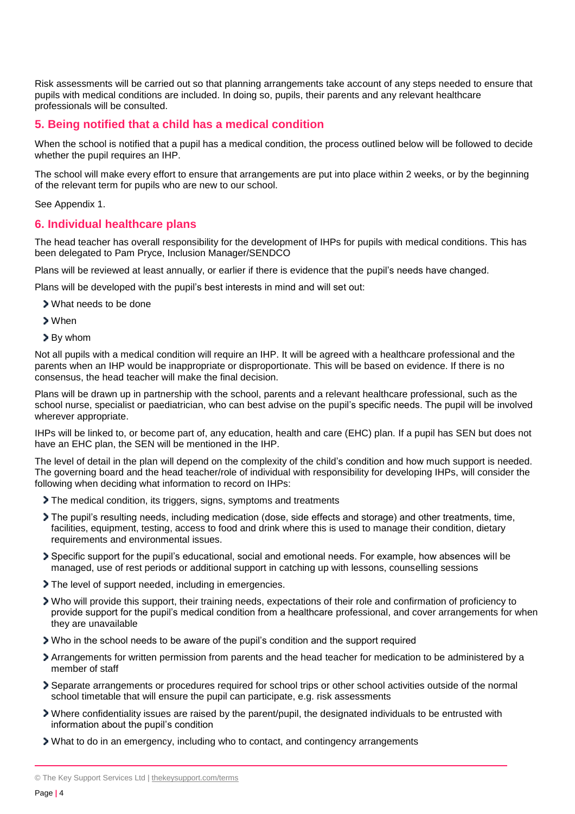Risk assessments will be carried out so that planning arrangements take account of any steps needed to ensure that pupils with medical conditions are included. In doing so, pupils, their parents and any relevant healthcare professionals will be consulted.

#### **5. Being notified that a child has a medical condition**

When the school is notified that a pupil has a medical condition, the process outlined below will be followed to decide whether the pupil requires an IHP.

The school will make every effort to ensure that arrangements are put into place within 2 weeks, or by the beginning of the relevant term for pupils who are new to our school.

See Appendix 1.

#### **6. Individual healthcare plans**

The head teacher has overall responsibility for the development of IHPs for pupils with medical conditions. This has been delegated to Pam Pryce, Inclusion Manager/SENDCO

Plans will be reviewed at least annually, or earlier if there is evidence that the pupil's needs have changed.

Plans will be developed with the pupil's best interests in mind and will set out:

- What needs to be done
- When
- By whom

Not all pupils with a medical condition will require an IHP. It will be agreed with a healthcare professional and the parents when an IHP would be inappropriate or disproportionate. This will be based on evidence. If there is no consensus, the head teacher will make the final decision.

Plans will be drawn up in partnership with the school, parents and a relevant healthcare professional, such as the school nurse, specialist or paediatrician, who can best advise on the pupil's specific needs. The pupil will be involved wherever appropriate.

IHPs will be linked to, or become part of, any education, health and care (EHC) plan. If a pupil has SEN but does not have an EHC plan, the SEN will be mentioned in the IHP.

The level of detail in the plan will depend on the complexity of the child's condition and how much support is needed. The governing board and the head teacher/role of individual with responsibility for developing IHPs, will consider the following when deciding what information to record on IHPs:

- The medical condition, its triggers, signs, symptoms and treatments
- The pupil's resulting needs, including medication (dose, side effects and storage) and other treatments, time, facilities, equipment, testing, access to food and drink where this is used to manage their condition, dietary requirements and environmental issues.
- Specific support for the pupil's educational, social and emotional needs. For example, how absences will be managed, use of rest periods or additional support in catching up with lessons, counselling sessions
- The level of support needed, including in emergencies.
- Who will provide this support, their training needs, expectations of their role and confirmation of proficiency to provide support for the pupil's medical condition from a healthcare professional, and cover arrangements for when they are unavailable
- Who in the school needs to be aware of the pupil's condition and the support required
- Arrangements for written permission from parents and the head teacher for medication to be administered by a member of staff
- Separate arrangements or procedures required for school trips or other school activities outside of the normal school timetable that will ensure the pupil can participate, e.g. risk assessments
- Where confidentiality issues are raised by the parent/pupil, the designated individuals to be entrusted with information about the pupil's condition
- What to do in an emergency, including who to contact, and contingency arrangements

<sup>©</sup> The Key Support Services Ltd | [thekeysupport.com/terms](https://thekeysupport.com/terms-of-use)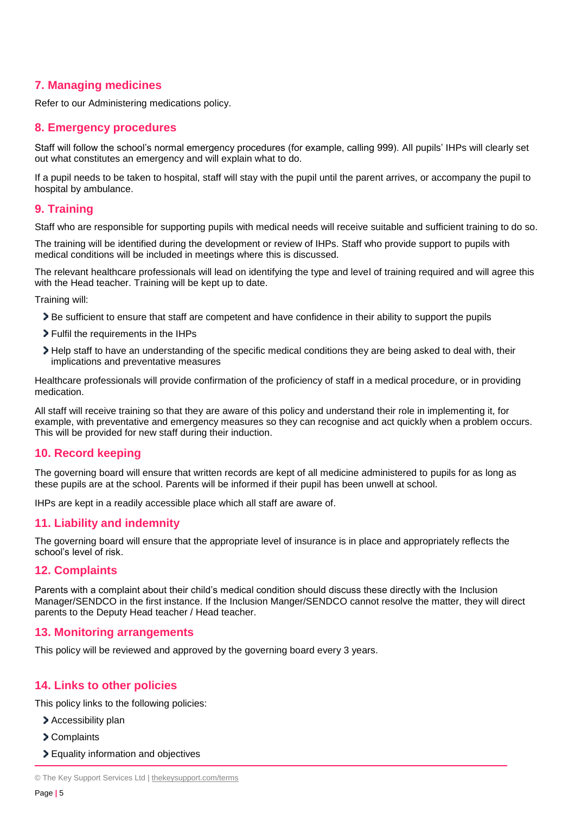# **7. Managing medicines**

Refer to our Administering medications policy.

# **8. Emergency procedures**

Staff will follow the school's normal emergency procedures (for example, calling 999). All pupils' IHPs will clearly set out what constitutes an emergency and will explain what to do.

If a pupil needs to be taken to hospital, staff will stay with the pupil until the parent arrives, or accompany the pupil to hospital by ambulance.

# **9. Training**

Staff who are responsible for supporting pupils with medical needs will receive suitable and sufficient training to do so.

The training will be identified during the development or review of IHPs. Staff who provide support to pupils with medical conditions will be included in meetings where this is discussed.

The relevant healthcare professionals will lead on identifying the type and level of training required and will agree this with the Head teacher. Training will be kept up to date.

Training will:

- Be sufficient to ensure that staff are competent and have confidence in their ability to support the pupils
- Fulfil the requirements in the IHPs
- Help staff to have an understanding of the specific medical conditions they are being asked to deal with, their implications and preventative measures

Healthcare professionals will provide confirmation of the proficiency of staff in a medical procedure, or in providing medication.

All staff will receive training so that they are aware of this policy and understand their role in implementing it, for example, with preventative and emergency measures so they can recognise and act quickly when a problem occurs. This will be provided for new staff during their induction.

# **10. Record keeping**

The governing board will ensure that written records are kept of all medicine administered to pupils for as long as these pupils are at the school. Parents will be informed if their pupil has been unwell at school.

IHPs are kept in a readily accessible place which all staff are aware of.

# **11. Liability and indemnity**

The governing board will ensure that the appropriate level of insurance is in place and appropriately reflects the school's level of risk.

# **12. Complaints**

Parents with a complaint about their child's medical condition should discuss these directly with the Inclusion Manager/SENDCO in the first instance. If the Inclusion Manger/SENDCO cannot resolve the matter, they will direct parents to the Deputy Head teacher / Head teacher.

# **13. Monitoring arrangements**

This policy will be reviewed and approved by the governing board every 3 years.

# **14. Links to other policies**

This policy links to the following policies:

- > Accessibility plan
- > Complaints
- Equality information and objectives